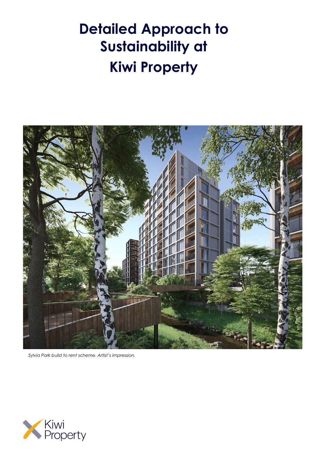# **Detailed Approach to Sustainability at Kiwi Property**



*Sylvia Park build to rent scheme. Artist's impression.*

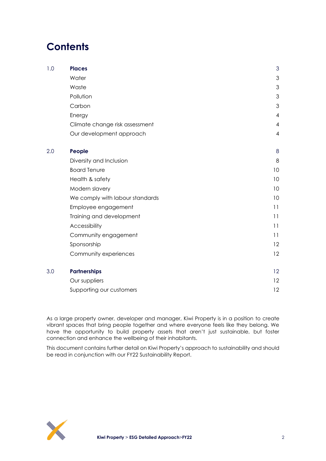# **Contents**

| 1.0 | <b>Places</b>                   | 3              |
|-----|---------------------------------|----------------|
|     | Water                           | 3              |
|     | Waste                           | 3              |
|     | Pollution                       | 3              |
|     | Carbon                          | 3              |
|     | Energy                          | 4              |
|     | Climate change risk assessment  | $\overline{4}$ |
|     | Our development approach        | $\overline{4}$ |
| 2.0 | People                          | 8              |
|     | Diversity and Inclusion         | 8              |
|     | <b>Board Tenure</b>             | 10             |
|     | Health & safety                 | 10             |
|     | Modern slavery                  | 10             |
|     | We comply with labour standards | 10             |
|     | Employee engagement             | 11             |
|     | Training and development        | 11             |
|     | Accessibility                   | 11             |
|     | Community engagement            | 11             |
|     | Sponsorship                     | 12             |
|     | Community experiences           | 12             |
| 3.0 | <b>Partnerships</b>             | 12             |
|     | Our suppliers                   | 12             |
|     | Supporting our customers        | 12             |

As a large property owner, developer and manager, Kiwi Property is in a position to create vibrant spaces that bring people together and where everyone feels like they belong. We have the opportunity to build property assets that aren't just sustainable, but foster connection and enhance the wellbeing of their inhabitants.

This document contains further detail on Kiwi Property's approach to sustainability and should be read in conjunction with our FY22 Sustainability Report.

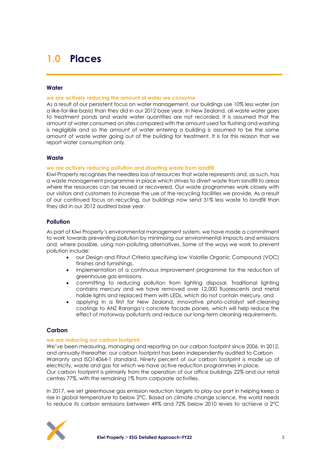# <span id="page-2-0"></span>**1.0 Places**

### <span id="page-2-1"></span>**Water**

### **we are actively reducing the amount of water we consume**

As a result of our persistent focus on water management, our buildings use 10% less water (on a like-for-like basis) than they did in our 2012 base year. In New Zealand, all waste water goes to treatment ponds and waste water quantities are not recorded. It is assumed that the amount of water consumed on sites compared with the amount used for flushing and washing is negligible and so the amount of water entering a building is assumed to be the same amount of waste water going out of the building for treatment. It is for this reason that we report water consumption only.

### <span id="page-2-2"></span>**Waste**

### **we are actively reducing pollution and diverting waste from landfill**

Kiwi Property recognises the needless loss of resources that waste represents and, as such, has a waste management programme in place which strives to divert waste from landfill to areas where the resources can be reused or recovered. Our waste programmes work closely with our visitors and customers to increase the use of the recycling facilities we provide. As a result of our continued focus on recycling, our buildings now send 31% less waste to landfill than they did in our 2012 audited base year.

# <span id="page-2-3"></span>**Pollution**

As part of Kiwi Property's environmental management system, we have made a commitment to work towards preventing pollution by minimising our environmental impacts and emissions and, where possible, using non-polluting alternatives. Some of the ways we work to prevent pollution include:

- our Design and Fitout Criteria specifying low Volatile Organic Compound (VOC) finishes and furnishings.
- implementation of a continuous improvement programme for the reduction of greenhouse gas emissions.
- committing to reducing pollution from lighting disposal. Traditional lighting contains mercury and we have removed over 12,000 fluorescents and metal halide lights and replaced them with LEDs, which do not contain mercury, and
- applying in a first for New Zealand, innovative photo-catalyst self-cleaning coatings to ANZ Raranga's concrete facade panels, which will help reduce the effect of motorway pollutants and reduce our long-term cleaning requirements.

# <span id="page-2-4"></span>**Carbon**

### **we are reducing our carbon footprint**

We've been measuring, managing and reporting on our carbon footprint since 2006. In 2012, and annually thereafter, our carbon footprint has been independently audited to Carbon Warranty and ISO14064-1 standard. Ninety percent of our carbon footprint is made up of electricity, waste and gas for which we have active reduction programmes in place. Our carbon footprint is primarily from the operation of our office buildings 22% and our retail centres 77%, with the remaining 1% from corporate activities.

In 2017, we set greenhouse gas emission reduction targets to play our part in helping keep a rise in global temperature to below 2°C. Based on climate change science, the world needs to reduce its carbon emissions between 49% and 72% below 2010 levels to achieve a 2°C

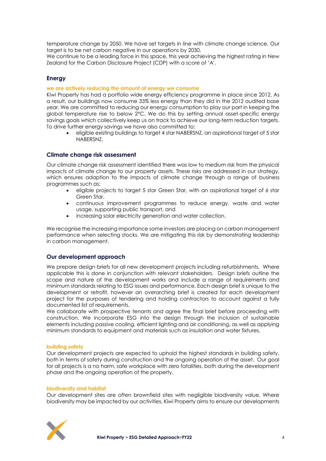temperature change by 2050. We have set targets in line with climate change science. Our target is to be net carbon negative in our operations by 2030.

We continue to be a leading force in this space, this year achieving the highest rating in New Zealand for the Carbon Disclosure Project (CDP) with a score of 'A'.

# <span id="page-3-0"></span>**Energy**

### **we are actively reducing the amount of energy we consume**

Kiwi Property has had a portfolio wide energy efficiency programme in place since 2012. As a result, our buildings now consume 33% less energy than they did in the 2012 audited base year. We are committed to reducing our energy consumption to play our part in keeping the global temperature rise to below 2°C. We do this by setting annual asset-specific energy savings goals which collectively keep us on track to achieve our long-term reduction targets. To drive further energy savings we have also committed to:

• eligible existing buildings to target 4 star NABERSNZ, an aspirational target of 5 star NABERSNZ.

### <span id="page-3-1"></span>**Climate change risk assessment**

Our climate change risk assessment identified there was low to medium risk from the physical impacts of climate change to our property assets. These risks are addressed in our strategy, which ensures adaption to the impacts of climate change through a range of business programmes such as:

- eligible projects to target 5 star Green Star, with an aspirational target of 6 star Green Star.
- continuous improvement programmes to reduce energy, waste and water usage, supporting public transport, and
- increasing solar electricity generation and water collection.

We recognise the increasing importance some investors are placing on carbon management performance when selecting stocks. We are mitigating this risk by demonstrating leadership in carbon management.

# <span id="page-3-2"></span>**Our development approach**

We prepare design briefs for all new development projects including refurbishments. Where applicable this is done in conjunction with relevant stakeholders. Design briefs outline the scope and nature of the development works and include a range of requirements and minimum standards relating to ESG issues and performance. Each design brief is unique to the development or retrofit, however an overarching brief is created for each development project for the purposes of tendering and holding contractors to account against a fully documented list of requirements.

We collaborate with prospective tenants and agree the final brief before proceeding with construction. We incorporate ESG into the design through the inclusion of sustainable elements including passive cooling, efficient lighting and air conditioning, as well as applying minimum standards to equipment and materials such as insulation and water fixtures.

### **building safety**

Our development projects are expected to uphold the highest standards in building safety, both in terms of safety during construction and the ongoing operation of the asset. Our goal for all projects is a no harm, safe workplace with zero fatalities, both during the development phase and the ongoing operation of the property.

### **biodiversity and habitat**

Our development sites are often brownfield sites with negligible biodiversity value. Where biodiversity may be impacted by our activities, Kiwi Property aims to ensure our developments

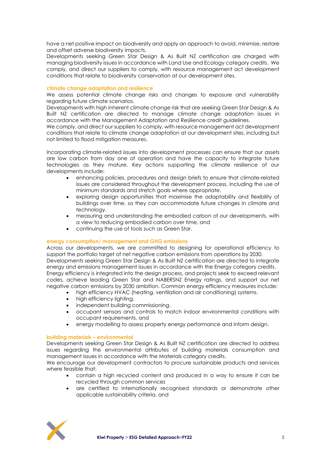have a net positive impact on biodiversity and apply an approach to avoid, minimise, restore and offset adverse biodiversity impacts.

Developments seeking Green Star Design & As Built NZ certification are charged with managing biodiversity issues in accordance with Land Use and Ecology category credits. We comply, and direct our suppliers to comply, with resource management act development conditions that relate to biodiversity conservation at our development sites.

### **climate change adaptation and resilience**

We assess potential climate change risks and changes to exposure and vulnerability regarding future climate scenarios.

Developments with high inherent climate change risk that are seeking Green Star Design & As Built NZ certification are directed to manage climate change adaptation issues in accordance with the Management Adaptation and Resilience credit guidelines.

We comply, and direct our suppliers to comply, with resource management act development conditions that relate to climate change adaptation at our development sites, including but not limited to flood mitigation measures.

Incorporating climate-related issues into development processes can ensure that our assets are low carbon from day one of operation and have the capacity to integrate future technologies as they mature. Key actions supporting the climate resilience of our developments include:

- enhancing policies, procedures and design briefs to ensure that climate-related issues are considered throughout the development process, including the use of minimum standards and stretch goals where appropriate.
- exploring design opportunities that maximise the adaptability and flexibility of buildings over time, so they can accommodate future changes in climate and technology.
- measuring and understanding the embodied carbon of our developments, with a view to reducing embodied carbon over time, and
- continuing the use of tools such as Green Star.

# **energy consumption/ management and GHG emissions**

Across our developments, we are committed to designing for operational efficiency to support the portfolio target of net negative carbon emissions from operations by 2030. Developments seeking Green Star Design & As Built NZ certification are directed to integrate energy and emissions management issues in accordance with the Energy category credits. Energy efficiency is integrated into the design process, and projects seek to exceed relevant codes, achieve leading Green Star and NABERSNZ Energy ratings, and support our net negative carbon emissions by 2030 ambition. Common energy efficiency measures include:

- high efficiency HVAC (heating, ventilation and air conditioning) systems.
- high efficiency lighting.
- independent building commissioning.
- occupant sensors and controls to match indoor environmental conditions with occupant requirements, and
- energy modelling to assess property energy performance and inform design.

### **building materials – environmental**

Developments seeking Green Star Design & As Built NZ certification are directed to address issues regarding the environmental attributes of building materials consumption and management issues in accordance with the Materials category credits.

We encourage our development contractors to procure sustainable products and services where feasible that:

- contain a high recycled content and produced in a way to ensure it can be recycled through common services
- are certified to internationally recognised standards or demonstrate other applicable sustainability criteria, and

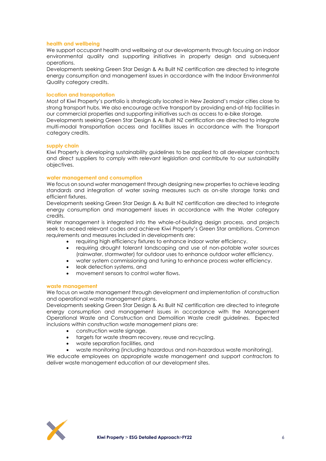### **health and wellbeing**

We support occupant health and wellbeing at our developments through focusing on indoor environmental quality and supporting initiatives in property design and subsequent operations.

Developments seeking Green Star Design & As Built NZ certification are directed to integrate energy consumption and management issues in accordance with the Indoor Environmental Quality category credits.

### **location and transportation**

Most of Kiwi Property's portfolio is strategically located in New Zealand's major cities close to strong transport hubs. We also encourage active transport by providing end-of-trip facilities in our commercial properties and supporting initiatives such as access to e-bike storage. Developments seeking Green Star Design & As Built NZ certification are directed to integrate multi-modal transportation access and facilities issues in accordance with the Transport category credits.

### **supply chain**

Kiwi Property is developing sustainability guidelines to be applied to all developer contracts and direct suppliers to comply with relevant legislation and contribute to our sustainability objectives.

### **water management and consumption**

We focus on sound water management through designing new properties to achieve leading standards and integration of water saving measures such as on-site storage tanks and efficient fixtures.

Developments seeking Green Star Design & As Built NZ certification are directed to integrate energy consumption and management issues in accordance with the Water category credits.

Water management is integrated into the whole-of-building design process, and projects seek to exceed relevant codes and achieve Kiwi Property's Green Star ambitions. Common requirements and measures included in developments are:

- requiring high efficiency fixtures to enhance indoor water efficiency.
- requiring drought tolerant landscaping and use of non-potable water sources (rainwater, stormwater) for outdoor uses to enhance outdoor water efficiency.
- water system commissioning and tuning to enhance process water efficiency.
- leak detection systems, and
- movement sensors to control water flows.

#### **waste management**

We focus on waste management through development and implementation of construction and operational waste management plans.

Developments seeking Green Star Design & As Built NZ certification are directed to integrate energy consumption and management issues in accordance with the Management Operational Waste and Construction and Demolition Waste credit guidelines. Expected inclusions within construction waste management plans are:

- construction waste signage.
- targets for waste stream recovery, reuse and recycling.
- waste separation facilities, and
- waste monitoring (including hazardous and non-hazardous waste monitoring).

We educate employees on appropriate waste management and support contractors to deliver waste management education at our development sites.

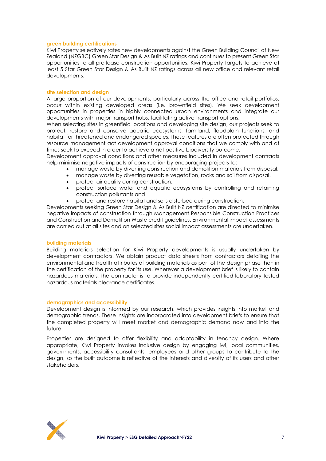### **green building certifications**

Kiwi Property selectively rates new developments against the Green Building Council of New Zealand (NZGBC) Green Star Design & As Built NZ ratings and continues to present Green Star opportunities to all pre-lease construction opportunities. Kiwi Property targets to achieve at least 5 Star Green Star Design & As Built NZ ratings across all new office and relevant retail developments.

### **site selection and design**

A large proportion of our developments, particularly across the office and retail portfolios, occur within existing developed areas (i.e. brownfield sites). We seek development opportunities in properties in highly connected urban environments and integrate our developments with major transport hubs, facilitating active transport options.

When selecting sites in greenfield locations and developing site design, our projects seek to protect, restore and conserve aquatic ecosystems, farmland, floodplain functions, and habitat for threatened and endangered species. These features are often protected through resource management act development approval conditions that we comply with and at times seek to exceed in order to achieve a net positive biodiversity outcome.

Development approval conditions and other measures included in development contracts help minimise negative impacts of construction by encouraging projects to:

- manage waste by diverting construction and demolition materials from disposal.
- manage waste by diverting reusable vegetation, rocks and soil from disposal.
- protect air quality during construction.
- protect surface water and aquatic ecosystems by controlling and retaining construction pollutants and
- protect and restore habitat and soils disturbed during construction.

Developments seeking Green Star Design & As Built NZ certification are directed to minimise negative impacts of construction through Management Responsible Construction Practices and Construction and Demolition Waste credit guidelines. Environmental impact assessments are carried out at all sites and on selected sites social impact assessments are undertaken.

#### **building materials**

Building materials selection for Kiwi Property developments is usually undertaken by development contractors. We obtain product data sheets from contractors detailing the environmental and health attributes of building materials as part of the design phase then in the certification of the property for its use. Wherever a development brief is likely to contain hazardous materials, the contractor is to provide independently certified laboratory tested hazardous materials clearance certificates.

### **demographics and accessibility**

Development design is informed by our research, which provides insights into market and demographic trends. These insights are incorporated into development briefs to ensure that the completed property will meet market and demographic demand now and into the future.

Properties are designed to offer flexibility and adaptability in tenancy design. Where appropriate, Kiwi Property invokes inclusive design by engaging iwi, local communities, governments, accessibility consultants, employees and other groups to contribute to the design, so the built outcome is reflective of the interests and diversity of its users and other stakeholders.

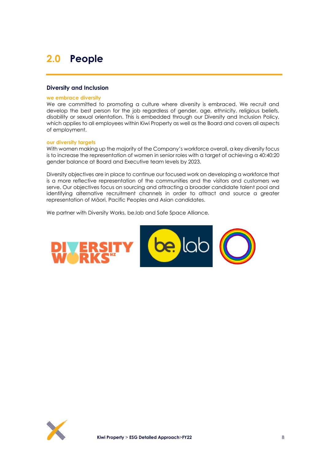# <span id="page-7-0"></span>**2.0 People**

# <span id="page-7-1"></span>**Diversity and Inclusion**

#### **we embrace diversity**

We are committed to promoting a culture where diversity is embraced. We recruit and develop the best person for the job regardless of gender, age, ethnicity, religious beliefs, disability or sexual orientation. This is embedded through our Diversity and Inclusion Policy, which applies to all employees within Kiwi Property as well as the Board and covers all aspects of employment.

### **our diversity targets**

With women making up the majority of the Company's workforce overall, a key diversity focus is to increase the representation of women in senior roles with a target of achieving a 40:40:20 gender balance at Board and Executive team levels by 2023.

Diversity objectives are in place to continue our focused work on developing a workforce that is a more reflective representation of the communities and the visitors and customers we serve. Our objectives focus on sourcing and attracting a broader candidate talent pool and identifying alternative recruitment channels in order to attract and source a greater representation of Māori, Pacific Peoples and Asian candidates.

We partner with Diversity Works, be.lab and Safe Space Alliance.



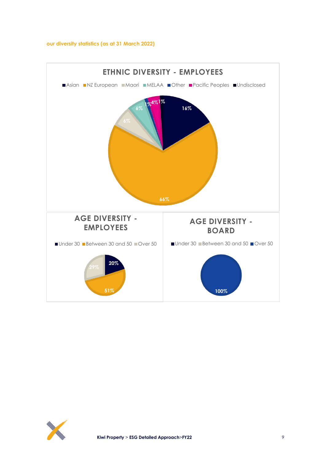### **our diversity statistics (as at 31 March 2022)**



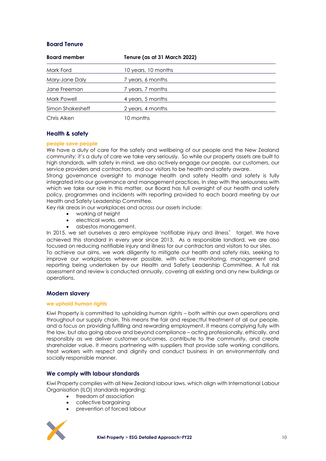# <span id="page-9-0"></span>**Board Tenure**

| <b>Board member</b> | Tenure (as at 31 March 2022) |  |
|---------------------|------------------------------|--|
| Mark Ford           | 10 years, 10 months          |  |
| Mary-Jane Daly      | 7 years, 6 months            |  |
| Jane Freeman        | 7 years, 7 months            |  |
| Mark Powell         | 4 years, 5 months            |  |
| Simon Shakesheff    | 2 years, 4 months            |  |
| Chris Aiken         | 10 months                    |  |

# <span id="page-9-1"></span>**Health & safety**

### **people save people**

We have a duty of care for the safety and wellbeing of our people and the New Zealand community; it's a duty of care we take very seriously. So while our property assets are built to high standards, with safety in mind, we also actively engage our people, our customers, our service providers and contractors, and our visitors to be health and safety aware.

Strong governance oversight to manage health and safety Health and safety is fully integrated into our governance and management practices. In step with the seriousness with which we take our role in this matter, our Board has full oversight of our health and safety policy, programmes and incidents with reporting provided to each board meeting by our Health and Safety Leadership Committee.

Key risk areas in our workplaces and across our assets include:

- working at height
- electrical works, and
- asbestos management.

In 2015, we set ourselves a zero employee 'notifiable injury and illness' target. We have achieved this standard in every year since 2013. As a responsible landlord, we are also focused on reducing notifiable injury and illness for our contractors and visitors to our sites. To achieve our aims, we work diligently to mitigate our health and safety risks, seeking to improve our workplaces wherever possible, with active monitoring, management and reporting being undertaken by our Health and Safety Leadership Committee. A full risk assessment and review is conducted annually, covering all existing and any new buildings or operations.

# <span id="page-9-2"></span>**Modern slavery**

### **we uphold human rights**

Kiwi Property is committed to upholding human rights – both within our own operations and throughout our supply chain. This means the fair and respectful treatment of all our people, and a focus on providing fulfilling and rewarding employment. It means complying fully with the law, but also going above and beyond compliance – acting professionally, ethically, and responsibly as we deliver customer outcomes, contribute to the community, and create shareholder value. It means partnering with suppliers that provide safe working conditions, treat workers with respect and dignity and conduct business in an environmentally and socially responsible manner.

# <span id="page-9-3"></span>**We comply with labour standards**

Kiwi Property complies with all New Zealand labour laws, which align with International Labour Organisation (ILO) standards regarding:

- freedom of association
- collective bargaining
- prevention of forced labour

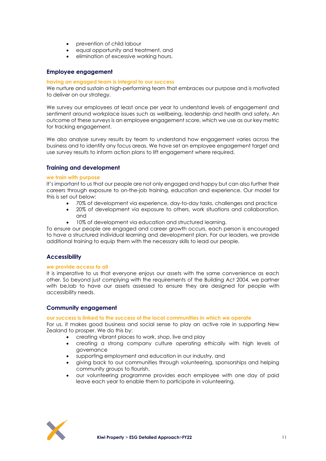- prevention of child labour
- equal opportunity and treatment, and
- elimination of excessive working hours.

### <span id="page-10-0"></span>**Employee engagement**

### **having an engaged team is integral to our success**

We nurture and sustain a high-performing team that embraces our purpose and is motivated to deliver on our strategy.

We survey our employees at least once per year to understand levels of engagement and sentiment around workplace issues such as wellbeing, leadership and health and safety. An outcome of these surveys is an employee engagement score, which we use as our key metric for tracking engagement.

We also analyse survey results by team to understand how engagement varies across the business and to identify any focus areas. We have set an employee engagement target and use survey results to inform action plans to lift engagement where required.

### <span id="page-10-1"></span>**Training and development**

### **we train with purpose**

It's important to us that our people are not only engaged and happy but can also further their careers through exposure to on-the-job training, education and experience. Our model for this is set out below:

- 70% of development via experience, day-to-day tasks, challenges and practice
- 20% of development via exposure to others, work situations and collaboration, and
- 10% of development via education and structured learning.

To ensure our people are engaged and career growth occurs, each person is encouraged to have a structured individual learning and development plan. For our leaders, we provide additional training to equip them with the necessary skills to lead our people.

### <span id="page-10-2"></span>**Accessibility**

### **we provide access to all**

It is imperative to us that everyone enjoys our assets with the same convenience as each other. So beyond just complying with the requirements of the Building Act 2004, we partner with be.lab to have our assets assessed to ensure they are designed for people with accessibility needs.

### <span id="page-10-3"></span>**Community engagement**

### **our success is linked to the success of the local communities in which we operate**

For us, it makes good business and social sense to play an active role in supporting New Zealand to prosper. We do this by:

- creating vibrant places to work, shop, live and play
- creating a strong company culture operating ethically with high levels of governance
- supporting employment and education in our industry, and
- giving back to our communities through volunteering, sponsorships and helping community groups to flourish.
- our volunteering programme provides each employee with one day of paid leave each year to enable them to participate in volunteering.